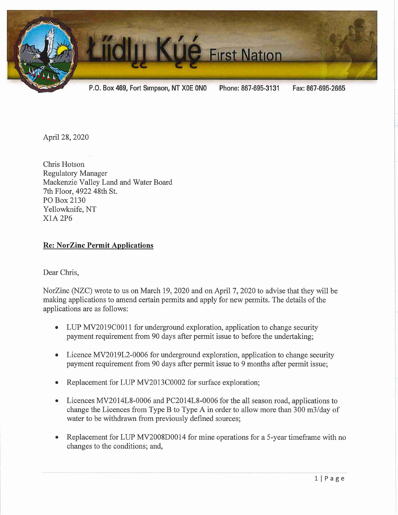

April 28, 2020

Chris Hotson Regulatory Manager Mackenzie Valley Land and Water Board 7th Floor, 4922 48th St. PO Box 2130 Yellowknife, NT X1A2P6

## Re: NorZinc Permit Applications

## Dear Chris,

NorZinc (NZC) wrote to us on March 19, 2020 and on April 7, 2020 to advise that they will be making applications to amend certain permits and apply for new permits. The details of the applications are as follows:

- LUP MV2019C0011 for underground exploration, application to change security payment requirement from 90 days after permit issue to before the undertaking;
- Licence MV2019L2-0006 for underground exploration, application to change security payment requirement from 90 days after permit issue to 9 months after permit issue;
- Replacement for LUP MV2013C0002 for surface exploration;
- Licences MV2014L8-0006 and PC2014L8-0006 for the all season road, applications to change the Licences from Type B to Type A in order to allow more than 300 m3/day of water to be withdrawn from previously defined sources;
- Replacement for LUP MV2008D0014 for mine operations for a 5-year time frame with no changes to the conditions; and,